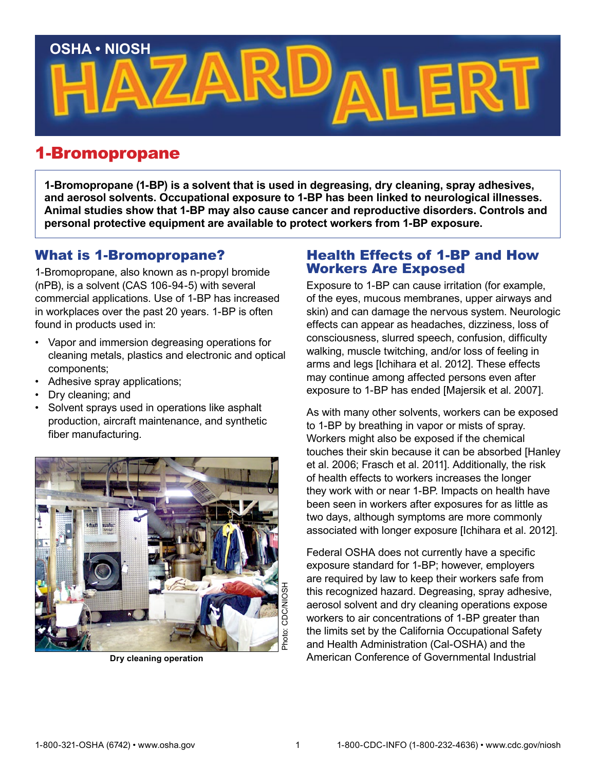

# 1-Bromopropane

**1-Bromopropane (1-BP) is a solvent that is used in degreasing, dry cleaning, spray adhesives, and aerosol solvents. Occupational exposure to 1-BP has been linked to neurological illnesses. Animal studies show that 1-BP may also cause cancer and reproductive disorders. Controls and personal protective equipment are available to protect workers from 1-BP exposure.**

### What is 1-Bromopropane?

1-Bromopropane, also known as n-propyl bromide (nPB), is a solvent (CAS 106-94-5) with several commercial applications. Use of 1-BP has increased in workplaces over the past 20 years. 1-BP is often found in products used in:

- Vapor and immersion degreasing operations for cleaning metals, plastics and electronic and optical components;
- Adhesive spray applications;
- Dry cleaning; and
- Solvent sprays used in operations like asphalt production, aircraft maintenance, and synthetic fiber manufacturing.



### Health Effects of 1-BP and How Workers Are Exposed

Exposure to 1-BP can cause irritation (for example, of the eyes, mucous membranes, upper airways and skin) and can damage the nervous system. Neurologic effects can appear as headaches, dizziness, loss of consciousness, slurred speech, confusion, difficulty walking, muscle twitching, and/or loss of feeling in arms and legs [Ichihara et al. 2012]. These effects may continue among affected persons even after exposure to 1-BP has ended [Majersik et al. 2007].

As with many other solvents, workers can be exposed to 1-BP by breathing in vapor or mists of spray. Workers might also be exposed if the chemical touches their skin because it can be absorbed [Hanley et al. 2006; Frasch et al. 2011]. Additionally, the risk of health effects to workers increases the longer they work with or near 1-BP. Impacts on health have been seen in workers after exposures for as little as two days, although symptoms are more commonly associated with longer exposure [Ichihara et al. 2012].

Federal OSHA does not currently have a specific exposure standard for 1-BP; however, employers are required by law to keep their workers safe from this recognized hazard. Degreasing, spray adhesive, aerosol solvent and dry cleaning operations expose workers to air concentrations of 1-BP greater than the limits set by the California Occupational Safety and Health Administration (Cal-OSHA) and the Try cleaning operation<br>
Dry cleaning operation<br>
Dry cleaning operation<br>
Dry cleaning operation<br>
Dry cleaning operation<br>
Dry cleaning operation<br>
Dry cleaning operation<br>  $\frac{1}{2}$ <br>
Dry cleaning operation<br>  $\frac{1}{2}$ <br>
Dry clea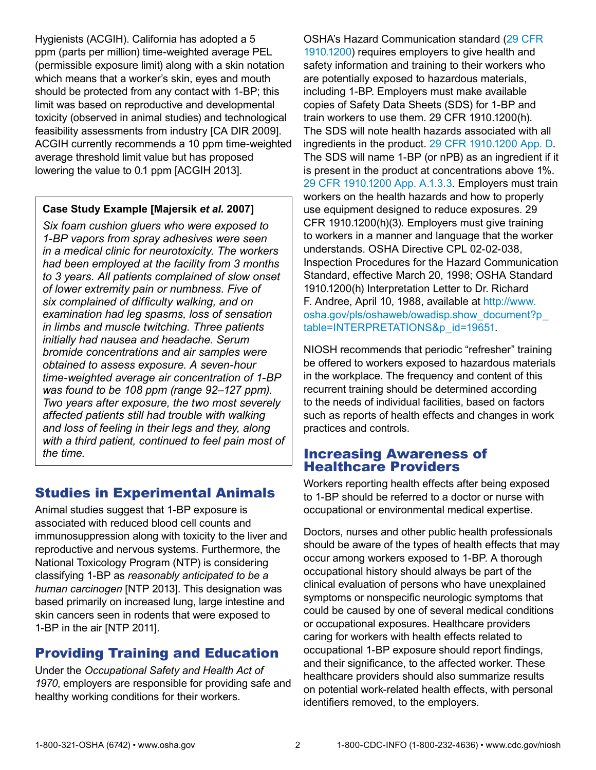Hygienists (ACGIH). California has adopted a 5 ppm (parts per million) time-weighted average PEL (permissible exposure limit) along with a skin notation which means that a worker's skin, eyes and mouth should be protected from any contact with 1-BP; this limit was based on reproductive and developmental toxicity (observed in animal studies) and technological feasibility assessments from industry [CA DIR 2009]. ACGIH currently recommends a 10 ppm time-weighted average threshold limit value but has proposed lowering the value to 0.1 ppm [ACGIH 2013].

#### **Case Study Example [Majersik** *et al.* **2007]**

*Six foam cushion gluers who were exposed to 1-BP vapors from spray adhesives were seen in a medical clinic for neurotoxicity. The workers had been employed at the facility from 3 months to 3 years. All patients complained of slow onset of lower extremity pain or numbness. Five of six complained of difficulty walking, and on examination had leg spasms, loss of sensation in limbs and muscle twitching. Three patients initially had nausea and headache. Serum bromide concentrations and air samples were obtained to assess exposure. A seven-hour time-weighted average air concentration of 1-BP was found to be 108 ppm (range 92–127 ppm). Two years after exposure, the two most severely affected patients still had trouble with walking and loss of feeling in their legs and they, along with a third patient, continued to feel pain most of the time.*

# Studies in Experimental Animals

Animal studies suggest that 1-BP exposure is associated with reduced blood cell counts and immunosuppression along with toxicity to the liver and reproductive and nervous systems. Furthermore, the National Toxicology Program (NTP) is considering classifying 1-BP as *reasonably anticipated to be a human carcinogen* [NTP 2013]. This designation was based primarily on increased lung, large intestine and skin cancers seen in rodents that were exposed to 1-BP in the air [NTP 2011].

# Providing Training and Education

Under the *Occupational Safety and Health Act of 1970*, employers are responsible for providing safe and healthy working conditions for their workers.

OSHA's Hazard Communication standard [\(29 CFR](http://www.osha.gov/pls/oshaweb/owadisp.show_document?p_table=standards&p_id=10099)  [1910.1200](http://www.osha.gov/pls/oshaweb/owadisp.show_document?p_table=standards&p_id=10099)) requires employers to give health and safety information and training to their workers who are potentially exposed to hazardous materials, including 1-BP. Employers must make available copies of Safety Data Sheets (SDS) for 1-BP and train workers to use them. 29 CFR 1910.1200(h). The SDS will note health hazards associated with all ingredients in the product. [29 CFR 1910.1200 App. D.](http://www.osha.gov/pls/oshaweb/owadisp.show_document?p_table=standards&p_id=10103) The SDS will name 1-BP (or nPB) as an ingredient if it is present in the product at concentrations above 1%. [29 CFR 1910.1200 App. A.1.3.3.](http://www.osha.gov/pls/oshaweb/owadisp.show_document?p_table=STANDARDS&p_id=10100) Employers must train workers on the health hazards and how to properly use equipment designed to reduce exposures. 29 CFR 1910.1200(h)(3). Employers must give training to workers in a manner and language that the worker understands. OSHA Directive CPL 02-02-038, Inspection Procedures for the Hazard Communication Standard, effective March 20, 1998; OSHA Standard 1910.1200(h) Interpretation Letter to Dr. Richard F. Andree, April 10, 1988, available at [http://www.](http://www.osha.gov/pls/oshaweb/owadisp.show_document?p_table=INTERPRETATIONS&p_id=19651) [osha.gov/pls/oshaweb/owadisp.show\\_document?p\\_](http://www.osha.gov/pls/oshaweb/owadisp.show_document?p_table=INTERPRETATIONS&p_id=19651) [table=INTERPRETATIONS&p\\_id=19651](http://www.osha.gov/pls/oshaweb/owadisp.show_document?p_table=INTERPRETATIONS&p_id=19651).

NIOSH recommends that periodic "refresher" training be offered to workers exposed to hazardous materials in the workplace. The frequency and content of this recurrent training should be determined according to the needs of individual facilities, based on factors such as reports of health effects and changes in work practices and controls.

### Increasing Awareness of Healthcare Providers

Workers reporting health effects after being exposed to 1-BP should be referred to a doctor or nurse with occupational or environmental medical expertise.

Doctors, nurses and other public health professionals should be aware of the types of health effects that may occur among workers exposed to 1-BP. A thorough occupational history should always be part of the clinical evaluation of persons who have unexplained symptoms or nonspecific neurologic symptoms that could be caused by one of several medical conditions or occupational exposures. Healthcare providers caring for workers with health effects related to occupational 1-BP exposure should report findings, and their significance, to the affected worker. These healthcare providers should also summarize results on potential work-related health effects, with personal identifiers removed, to the employers.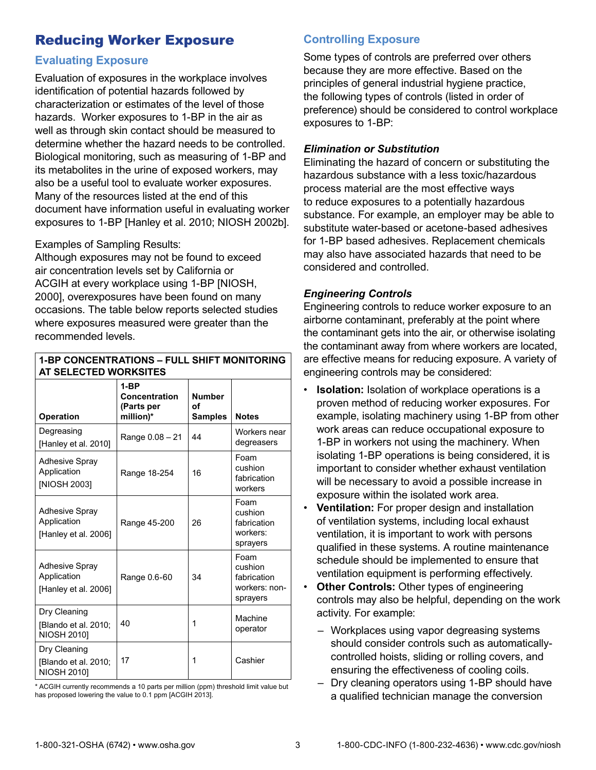# Reducing Worker Exposure

### **Evaluating Exposure**

Evaluation of exposures in the workplace involves identification of potential hazards followed by characterization or estimates of the level of those hazards. Worker exposures to 1-BP in the air as well as through skin contact should be measured to determine whether the hazard needs to be controlled. Biological monitoring, such as measuring of 1-BP and its metabolites in the urine of exposed workers, may also be a useful tool to evaluate worker exposures. Many of the resources listed at the end of this document have information useful in evaluating worker exposures to 1-BP [Hanley et al. 2010; NIOSH 2002b].

#### Examples of Sampling Results:

Although exposures may not be found to exceed air concentration levels set by California or ACGIH at every workplace using 1-BP [NIOSH, 2000], overexposures have been found on many occasions. The table below reports selected studies where exposures measured were greater than the recommended levels.

**1-BP CONCENTRATIONS – FULL SHIFT MONITORING** 

| AT SELECTED WORKSITES                                        |                                                    |                                       |                                                             |
|--------------------------------------------------------------|----------------------------------------------------|---------------------------------------|-------------------------------------------------------------|
| <b>Operation</b>                                             | $1-BP$<br>Concentration<br>(Parts per<br>million)* | <b>Number</b><br>οf<br><b>Samples</b> | <b>Notes</b>                                                |
| Degreasing<br>[Hanley et al. 2010]                           | Range 0.08 - 21                                    | 44                                    | Workers near<br>degreasers                                  |
| <b>Adhesive Spray</b><br>Application<br>[NIOSH 2003]         | Range 18-254                                       | 16                                    | Foam<br>cushion<br>fabrication<br>workers                   |
| <b>Adhesive Spray</b><br>Application<br>[Hanley et al. 2006] | Range 45-200                                       | 26                                    | Foam<br>cushion<br>fabrication<br>workers:<br>sprayers      |
| <b>Adhesive Spray</b><br>Application<br>[Hanley et al. 2006] | Range 0.6-60                                       | 34                                    | Foam<br>cushion<br>fabrication<br>workers: non-<br>sprayers |
| Dry Cleaning<br>[Blando et al. 2010;<br><b>NIOSH 2010]</b>   | 40                                                 | 1                                     | Machine<br>operator                                         |
| Dry Cleaning<br>[Blando et al. 2010;<br><b>NIOSH 2010]</b>   | 17                                                 | 1                                     | Cashier                                                     |

#### \* ACGIH currently recommends a 10 parts per million (ppm) threshold limit value but has proposed lowering the value to 0.1 ppm [ACGIH 2013].

### **Controlling Exposure**

Some types of controls are preferred over others because they are more effective. Based on the principles of general industrial hygiene practice, the following types of controls (listed in order of preference) should be considered to control workplace exposures to 1-BP:

#### *Elimination or Substitution*

Eliminating the hazard of concern or substituting the hazardous substance with a less toxic/hazardous process material are the most effective ways to reduce exposures to a potentially hazardous substance. For example, an employer may be able to substitute water-based or acetone-based adhesives for 1-BP based adhesives. Replacement chemicals may also have associated hazards that need to be considered and controlled.

#### *Engineering Controls*

Engineering controls to reduce worker exposure to an airborne contaminant, preferably at the point where the contaminant gets into the air, or otherwise isolating the contaminant away from where workers are located, are effective means for reducing exposure. A variety of engineering controls may be considered:

- **Isolation:** Isolation of workplace operations is a proven method of reducing worker exposures. For example, isolating machinery using 1-BP from other work areas can reduce occupational exposure to 1-BP in workers not using the machinery. When isolating 1-BP operations is being considered, it is important to consider whether exhaust ventilation will be necessary to avoid a possible increase in exposure within the isolated work area.
- **Ventilation:** For proper design and installation of ventilation systems, including local exhaust ventilation, it is important to work with persons qualified in these systems. A routine maintenance schedule should be implemented to ensure that ventilation equipment is performing effectively.
- **Other Controls:** Other types of engineering controls may also be helpful, depending on the work activity. For example:
	- Workplaces using vapor degreasing systems should consider controls such as automaticallycontrolled hoists, sliding or rolling covers, and ensuring the effectiveness of cooling coils.
	- Dry cleaning operators using 1-BP should have a qualified technician manage the conversion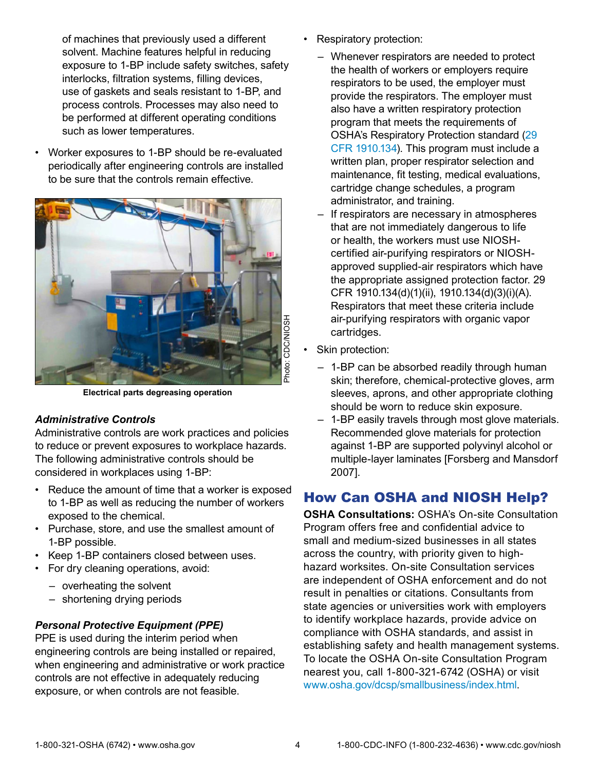of machines that previously used a different solvent. Machine features helpful in reducing exposure to 1-BP include safety switches, safety interlocks, filtration systems, filling devices, use of gaskets and seals resistant to 1-BP, and process controls. Processes may also need to be performed at different operating conditions such as lower temperatures.

• Worker exposures to 1-BP should be re-evaluated periodically after engineering controls are installed to be sure that the controls remain effective.



**Electrical parts degreasing operation**

#### *Administrative Controls*

Administrative controls are work practices and policies to reduce or prevent exposures to workplace hazards. The following administrative controls should be considered in workplaces using 1-BP:

- Reduce the amount of time that a worker is exposed to 1-BP as well as reducing the number of workers exposed to the chemical.
- Purchase, store, and use the smallest amount of 1-BP possible.
- Keep 1-BP containers closed between uses.
- For dry cleaning operations, avoid:
	- overheating the solvent
	- shortening drying periods

#### *Personal Protective Equipment (PPE)*

PPE is used during the interim period when engineering controls are being installed or repaired, when engineering and administrative or work practice controls are not effective in adequately reducing exposure, or when controls are not feasible.

- Respiratory protection:
	- Whenever respirators are needed to protect the health of workers or employers require respirators to be used, the employer must provide the respirators. The employer must also have a written respiratory protection program that meets the requirements of OSHA's Respiratory Protection standard [\(29](http://www.osha.gov/pls/oshaweb/owadisp.show_document?p_id=12716&p_table=standards)  [CFR 1910.134\)](http://www.osha.gov/pls/oshaweb/owadisp.show_document?p_id=12716&p_table=standards). This program must include a written plan, proper respirator selection and maintenance, fit testing, medical evaluations, cartridge change schedules, a program administrator, and training.
	- If respirators are necessary in atmospheres that are not immediately dangerous to life or health, the workers must use NIOSHcertified air-purifying respirators or NIOSHapproved supplied-air respirators which have the appropriate assigned protection factor. 29 CFR 1910.134(d)(1)(ii), 1910.134(d)(3)(i)(A). Respirators that meet these criteria include air-purifying respirators with organic vapor cartridges.
- Skin protection:
	- 1-BP can be absorbed readily through human skin; therefore, chemical-protective gloves, arm sleeves, aprons, and other appropriate clothing should be worn to reduce skin exposure.
	- 1-BP easily travels through most glove materials. Recommended glove materials for protection against 1-BP are supported polyvinyl alcohol or multiple-layer laminates [Forsberg and Mansdorf 2007].

### How Can OSHA and NIOSH Help?

**OSHA Consultations:** OSHA's On-site Consultation Program offers free and confidential advice to small and medium-sized businesses in all states across the country, with priority given to highhazard worksites. On-site Consultation services are independent of OSHA enforcement and do not result in penalties or citations. Consultants from state agencies or universities work with employers to identify workplace hazards, provide advice on compliance with OSHA standards, and assist in establishing safety and health management systems. To locate the OSHA On-site Consultation Program nearest you, call 1-800-321-6742 (OSHA) or visit [www.osha.gov/dcsp/smallbusiness/index.html.](http://www.osha.gov/dcsp/smallbusiness/index.html)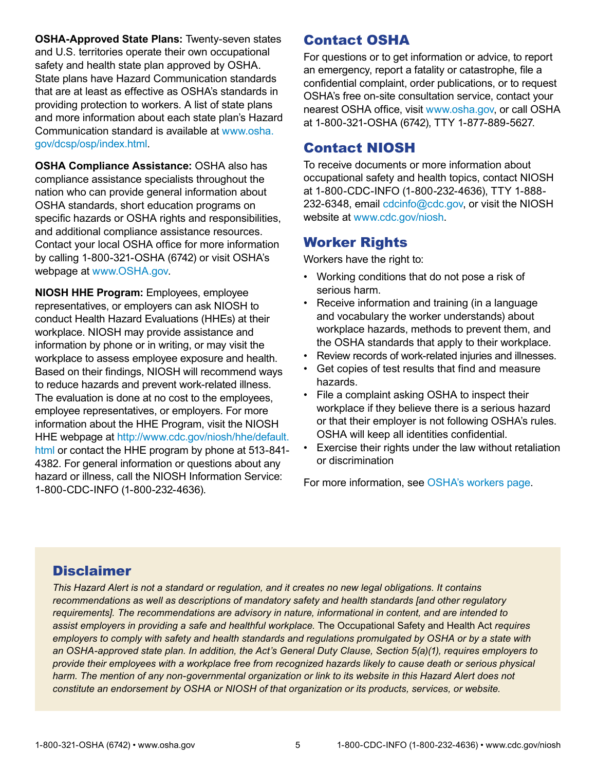**OSHA-Approved State Plans:** Twenty-seven states and U.S. territories operate their own occupational safety and health state plan approved by OSHA. State plans have Hazard Communication standards that are at least as effective as OSHA's standards in providing protection to workers. A list of state plans and more information about each state plan's Hazard Communication standard is available at [www.osha.](http://www.osha.gov/dcsp/osp/index.html) [gov/dcsp/osp/index.html](http://www.osha.gov/dcsp/osp/index.html).

**OSHA Compliance Assistance:** OSHA also has compliance assistance specialists throughout the nation who can provide general information about OSHA standards, short education programs on specific hazards or OSHA rights and responsibilities, and additional compliance assistance resources. Contact your local OSHA office for more information by calling 1-800-321-OSHA (6742) or visit OSHA's webpage at [www.OSHA.gov.](http://www.OSHA.gov)

**NIOSH HHE Program:** Employees, employee representatives, or employers can ask NIOSH to conduct Health Hazard Evaluations (HHEs) at their workplace. NIOSH may provide assistance and information by phone or in writing, or may visit the workplace to assess employee exposure and health. Based on their findings, NIOSH will recommend ways to reduce hazards and prevent work-related illness. The evaluation is done at no cost to the employees, employee representatives, or employers. For more information about the HHE Program, visit the NIOSH HHE webpage at [http://www.cdc.gov/niosh/hhe/default.](http://www.cdc.gov/niosh/hhe/default.html) [html](http://www.cdc.gov/niosh/hhe/default.html) or contact the HHE program by phone at 513-841-4382. For general information or questions about any hazard or illness, call the NIOSH Information Service: 1-800-CDC-INFO (1-800-232-4636).

# Contact OSHA

For questions or to get information or advice, to report an emergency, report a fatality or catastrophe, file a confidential complaint, order publications, or to request OSHA's free on-site consultation service, contact your nearest OSHA office, visit [www.osha.gov,](http://www.osha.gov) or call OSHA at 1-800-321-OSHA (6742), TTY 1-877-889-5627.

# Contact NIOSH

To receive documents or more information about occupational safety and health topics, contact NIOSH at 1-800-CDC-INFO (1-800-232-4636), TTY 1-888 232-6348, email [cdcinfo@cdc.gov,](mailto:cdcinfo@cdc.gov) or visit the NIOSH website at [www.cdc.gov/niosh](http://www.cdc.gov/niosh).

# Worker Rights

Workers have the right to:

- Working conditions that do not pose a risk of serious harm.
- Receive information and training (in a language and vocabulary the worker understands) about workplace hazards, methods to prevent them, and the OSHA standards that apply to their workplace.
- Review records of work-related injuries and illnesses.
- Get copies of test results that find and measure hazards.
- File a complaint asking OSHA to inspect their workplace if they believe there is a serious hazard or that their employer is not following OSHA's rules. OSHA will keep all identities confidential.
- Exercise their rights under the law without retaliation or discrimination

For more information, see [OSHA's workers page.](http://www.osha.gov/workers.html)

# **Disclaimer**

*This Hazard Alert is not a standard or regulation, and it creates no new legal obligations. It contains recommendations as well as descriptions of mandatory safety and health standards [and other regulatory requirements]. The recommendations are advisory in nature, informational in content, and are intended to assist employers in providing a safe and healthful workplace.* The Occupational Safety and Health Act *requires employers to comply with safety and health standards and regulations promulgated by OSHA or by a state with an OSHA-approved state plan. In addition, the Act's General Duty Clause, Section 5(a)(1), requires employers to provide their employees with a workplace free from recognized hazards likely to cause death or serious physical harm. The mention of any non-governmental organization or link to its website in this Hazard Alert does not constitute an endorsement by OSHA or NIOSH of that organization or its products, services, or website.*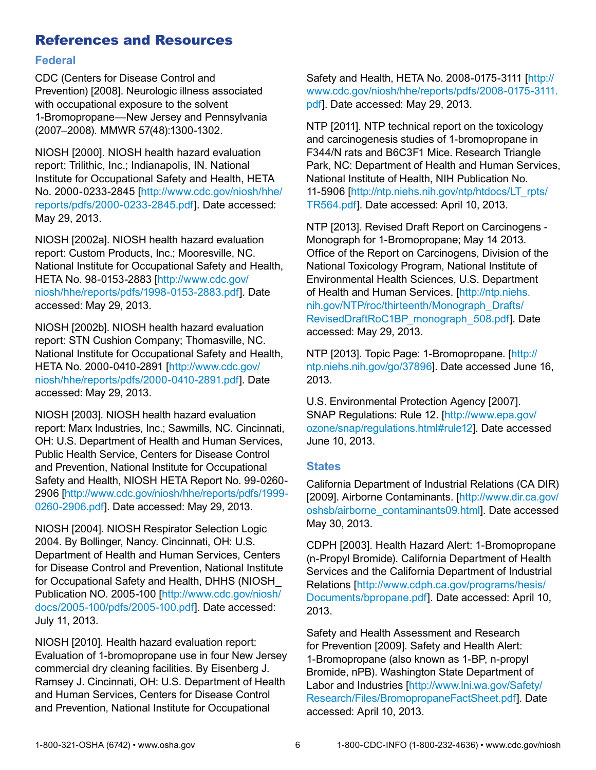### References and Resources

#### **Federal**

CDC (Centers for Disease Control and Prevention) [2008]. Neurologic illness associated with occupational exposure to the solvent 1-Bromopropane—New Jersey and Pennsylvania (2007–2008). MMWR 57(48):1300-1302.

NIOSH [2000]. NIOSH health hazard evaluation report: Trilithic, Inc.; Indianapolis, IN. National Institute for Occupational Safety and Health, HETA No. 2000-0233-2845 [[http://www.cdc.gov/niosh/hhe/](http://www.cdc.gov/niosh/hhe/reports/pdfs/2000-0233-2845.pdf) [reports/pdfs/2000-0233-2845.pdf](http://www.cdc.gov/niosh/hhe/reports/pdfs/2000-0233-2845.pdf)]. Date accessed: May 29, 2013.

NIOSH [2002a]. NIOSH health hazard evaluation report: Custom Products, Inc.; Mooresville, NC. National Institute for Occupational Safety and Health, HETA No. 98-0153-2883 [[http://www.cdc.gov/](http://www.cdc.gov/niosh/hhe/reports/pdfs/1998-0153-2883.pdf) [niosh/hhe/reports/pdfs/1998-0153-2883.pdf\]](http://www.cdc.gov/niosh/hhe/reports/pdfs/1998-0153-2883.pdf). Date accessed: May 29, 2013.

NIOSH [2002b]. NIOSH health hazard evaluation report: STN Cushion Company; Thomasville, NC. National Institute for Occupational Safety and Health, HETA No. 2000-0410-2891 [[http://www.cdc.gov/](http://www.cdc.gov/niosh/hhe/reports/pdfs/2000-0410-2891.pdf) [niosh/hhe/reports/pdfs/2000-0410-2891.pdf\]](http://www.cdc.gov/niosh/hhe/reports/pdfs/2000-0410-2891.pdf). Date accessed: May 29, 2013.

NIOSH [2003]. NIOSH health hazard evaluation report: Marx Industries, Inc.; Sawmills, NC. Cincinnati, OH: U.S. Department of Health and Human Services, Public Health Service, Centers for Disease Control and Prevention, National Institute for Occupational Safety and Health, NIOSH HETA Report No. 99-0260- 2906 [[http://www.cdc.gov/niosh/hhe/reports/pdfs/1999-](http://www.cdc.gov/niosh/hhe/reports/pdfs/1999-0260-2906.pdf) [0260-2906.pdf\]](http://www.cdc.gov/niosh/hhe/reports/pdfs/1999-0260-2906.pdf). Date accessed: May 29, 2013.

NIOSH [2004]. NIOSH Respirator Selection Logic 2004. By Bollinger, Nancy. Cincinnati, OH: U.S. Department of Health and Human Services, Centers for Disease Control and Prevention, National Institute for Occupational Safety and Health, DHHS (NIOSH\_ Publication NO. 2005-100 [\[http://www.cdc.gov/niosh/](http://www.cdc.gov/niosh/docs/2005-100/pdfs/2005-100.p<FEFF>df) [docs/2005-100/pdfs/2005-100.pdf\]](http://www.cdc.gov/niosh/docs/2005-100/pdfs/2005-100.p<FEFF>df). Date accessed: July 11, 2013.

NIOSH [2010]. Health hazard evaluation report: Evaluation of 1-bromopropane use in four New Jersey commercial dry cleaning facilities. By Eisenberg J. Ramsey J. Cincinnati, OH: U.S. Department of Health and Human Services, Centers for Disease Control and Prevention, National Institute for Occupational

Safety and Health, HETA No. 2008-0175-3111 [[http://](http://www.cdc.gov/niosh/hhe/reports/pdfs/2008-0175-3111.pdf) [www.cdc.gov/niosh/hhe/reports/pdfs/2008-0175-3111.](http://www.cdc.gov/niosh/hhe/reports/pdfs/2008-0175-3111.pdf) [pdf\]](http://www.cdc.gov/niosh/hhe/reports/pdfs/2008-0175-3111.pdf). Date accessed: May 29, 2013.

NTP [2011]. NTP technical report on the toxicology and carcinogenesis studies of 1-bromopropane in F344/N rats and B6C3F1 Mice. Research Triangle Park, NC: Department of Health and Human Services, National Institute of Health, NIH Publication No. 11-5906 [[http://ntp.niehs.nih.gov/ntp/htdocs/LT\\_rpts/](http://ntp.niehs.nih.gov/ntp/htdocs/LT_rpts/TR564.pdf) [TR564.pdf\]](http://ntp.niehs.nih.gov/ntp/htdocs/LT_rpts/TR564.pdf). Date accessed: April 10, 2013.

NTP [2013]. Revised Draft Report on Carcinogens - Monograph for 1-Bromopropane; May 14 2013. Office of the Report on Carcinogens, Division of the National Toxicology Program, National Institute of Environmental Health Sciences, U.S. Department of Health and Human Services. [[http://ntp.niehs.](http://ntp.niehs.nih.gov/NTP/roc/thirteenth/Monograph_Drafts/RevisedDraftRoC1BP_monograph_508.pdf) [nih.gov/NTP/roc/thirteenth/Monograph\\_Drafts/](http://ntp.niehs.nih.gov/NTP/roc/thirteenth/Monograph_Drafts/RevisedDraftRoC1BP_monograph_508.pdf) [RevisedDraftRoC1BP\\_monograph\\_508.pdf\]](http://ntp.niehs.nih.gov/NTP/roc/thirteenth/Monograph_Drafts/RevisedDraftRoC1BP_monograph_508.pdf). Date accessed: May 29, 2013.

NTP [2013]. Topic Page: 1-Bromopropane. [\[http://](http://ntp.niehs.nih.gov/go/37896) [ntp.niehs.nih.gov/go/37896\]](http://ntp.niehs.nih.gov/go/37896). Date accessed June 16, 2013.

U.S. Environmental Protection Agency [2007]. SNAP Regulations: Rule 12. [[http://www.epa.gov/](http://www.epa.gov/ozone/snap/regulations.html#rule12) [ozone/snap/regulations.html#rule12\]](http://www.epa.gov/ozone/snap/regulations.html#rule12). Date accessed June 10, 2013.

#### **States**

California Department of Industrial Relations (CA DIR) [2009]. Airborne Contaminants. [\[http://www.dir.ca.gov/](http://www.dir.ca.gov/oshsb/airborne_contaminants09.html) [oshsb/airborne\\_contaminants09.html](http://www.dir.ca.gov/oshsb/airborne_contaminants09.html)]. Date accessed May 30, 2013.

CDPH [2003]. Health Hazard Alert: 1-Bromopropane (n-Propyl Bromide). California Department of Health Services and the California Department of Industrial Relations [[http://www.cdph.ca.gov/programs/hesis/](http://www.cdph.ca.gov/programs/hesis/Documents/bpropane.pdf) [Documents/bpropane.pdf\]](http://www.cdph.ca.gov/programs/hesis/Documents/bpropane.pdf). Date accessed: April 10, 2013.

Safety and Health Assessment and Research for Prevention [2009]. Safety and Health Alert: 1-Bromopropane (also known as 1-BP, n-propyl Bromide, nPB). Washington State Department of Labor and Industries [\[http://www.lni.wa.gov/Safety/](http://www.lni.wa.gov/Safety/Research/Files/BromopropaneFactSheet.pdf) [Research/Files/BromopropaneFactSheet.pdf\]](http://www.lni.wa.gov/Safety/Research/Files/BromopropaneFactSheet.pdf). Date accessed: April 10, 2013.